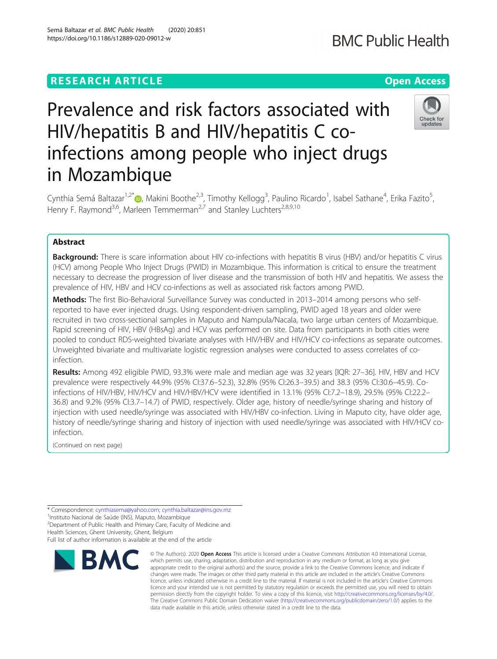## **RESEARCH ARTICLE Example 2014 12:30 The Contract of Contract ACCESS**

# Prevalence and risk factors associated with HIV/hepatitis B and HIV/hepatitis C coinfections among people who inject drugs in Mozambique

Cynthia Semá Baltazar<sup>1,2[\\*](http://orcid.org/0000-0001-8901-2240)</sup>®, Makini Boothe<sup>2,3</sup>, Timothy Kellogg<sup>3</sup>, Paulino Ricardo<sup>1</sup>, Isabel Sathane<sup>4</sup>, Erika Fazito<sup>5</sup> , Henry F. Raymond<sup>3,6</sup>, Marleen Temmerman<sup>2,7</sup> and Stanley Luchters<sup>2,8,9,10</sup>

## Abstract

Background: There is scare information about HIV co-infections with hepatitis B virus (HBV) and/or hepatitis C virus (HCV) among People Who Inject Drugs (PWID) in Mozambique. This information is critical to ensure the treatment necessary to decrease the progression of liver disease and the transmission of both HIV and hepatitis. We assess the prevalence of HIV, HBV and HCV co-infections as well as associated risk factors among PWID.

Methods: The first Bio-Behavioral Surveillance Survey was conducted in 2013-2014 among persons who selfreported to have ever injected drugs. Using respondent-driven sampling, PWID aged 18 years and older were recruited in two cross-sectional samples in Maputo and Nampula/Nacala, two large urban centers of Mozambique. Rapid screening of HIV, HBV (HBsAg) and HCV was performed on site. Data from participants in both cities were pooled to conduct RDS-weighted bivariate analyses with HIV/HBV and HIV/HCV co-infections as separate outcomes. Unweighted bivariate and multivariate logistic regression analyses were conducted to assess correlates of coinfection.

Results: Among 492 eligible PWID, 93.3% were male and median age was 32 years [IQR: 27-36]. HIV, HBV and HCV prevalence were respectively 44.9% (95% CI:37.6–52.3), 32.8% (95% CI:26.3–39.5) and 38.3 (95% CI:30.6–45.9). Coinfections of HIV/HBV, HIV/HCV and HIV/HBV/HCV were identified in 13.1% (95% CI:7.2–18.9), 29.5% (95% CI:22.2– 36.8) and 9.2% (95% CI:3.7–14.7) of PWID, respectively. Older age, history of needle/syringe sharing and history of injection with used needle/syringe was associated with HIV/HBV co-infection. Living in Maputo city, have older age, history of needle/syringe sharing and history of injection with used needle/syringe was associated with HIV/HCV coinfection.

(Continued on next page)

<sup>1</sup>Instituto Nacional de Saúde (INS), Maputo, Mozambique

<sup>2</sup> Department of Public Health and Primary Care, Faculty of Medicine and

**BMC** 

Health Sciences, Ghent University, Ghent, Belgium Full list of author information is available at the end of the article

© The Author(s), 2020 **Open Access** This article is licensed under a Creative Commons Attribution 4.0 International License, which permits use, sharing, adaptation, distribution and reproduction in any medium or format, as long as you give appropriate credit to the original author(s) and the source, provide a link to the Creative Commons licence, and indicate if changes were made. The images or other third party material in this article are included in the article's Creative Commons licence, unless indicated otherwise in a credit line to the material. If material is not included in the article's Creative Commons licence and your intended use is not permitted by statutory regulation or exceeds the permitted use, you will need to obtain permission directly from the copyright holder. To view a copy of this licence, visit [http://creativecommons.org/licenses/by/4.0/.](http://creativecommons.org/licenses/by/4.0/) The Creative Commons Public Domain Dedication waiver [\(http://creativecommons.org/publicdomain/zero/1.0/](http://creativecommons.org/publicdomain/zero/1.0/)) applies to the data made available in this article, unless otherwise stated in a credit line to the data.





## Semá Baltazar et al. BMC Public Health (2020) 20:851 https://doi.org/10.1186/s12889-020-09012-w



<sup>\*</sup> Correspondence: [cynthiasema@yahoo.com;](mailto:cynthiasema@yahoo.com) [cynthia.baltazar@ins.gov.mz](mailto:cynthia.baltazar@ins.gov.mz) <sup>1</sup>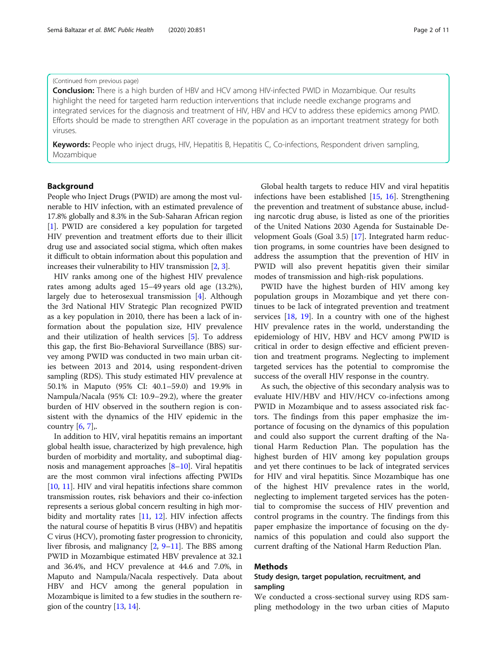#### (Continued from previous page)

**Conclusion:** There is a high burden of HBV and HCV among HIV-infected PWID in Mozambique. Our results highlight the need for targeted harm reduction interventions that include needle exchange programs and integrated services for the diagnosis and treatment of HIV, HBV and HCV to address these epidemics among PWID. Efforts should be made to strengthen ART coverage in the population as an important treatment strategy for both viruses.

Keywords: People who inject drugs, HIV, Hepatitis B, Hepatitis C, Co-infections, Respondent driven sampling, Mozambique

## Background

People who Inject Drugs (PWID) are among the most vulnerable to HIV infection, with an estimated prevalence of 17.8% globally and 8.3% in the Sub-Saharan African region [[1\]](#page-9-0). PWID are considered a key population for targeted HIV prevention and treatment efforts due to their illicit drug use and associated social stigma, which often makes it difficult to obtain information about this population and increases their vulnerability to HIV transmission [\[2,](#page-9-0) [3](#page-9-0)].

HIV ranks among one of the highest HIV prevalence rates among adults aged 15–49 years old age (13.2%), largely due to heterosexual transmission [\[4\]](#page-9-0). Although the 3rd National HIV Strategic Plan recognized PWID as a key population in 2010, there has been a lack of information about the population size, HIV prevalence and their utilization of health services [[5\]](#page-9-0). To address this gap, the first Bio-Behavioral Surveillance (BBS) survey among PWID was conducted in two main urban cities between 2013 and 2014, using respondent-driven sampling (RDS). This study estimated HIV prevalence at 50.1% in Maputo (95% CI: 40.1–59.0) and 19.9% in Nampula/Nacala (95% CI: 10.9–29.2), where the greater burden of HIV observed in the southern region is consistent with the dynamics of the HIV epidemic in the country  $[6, 7]$  $[6, 7]$  $[6, 7]$  $[6, 7]$ ,.

In addition to HIV, viral hepatitis remains an important global health issue, characterized by high prevalence, high burden of morbidity and mortality, and suboptimal diagnosis and management approaches [\[8](#page-9-0)–[10](#page-9-0)]. Viral hepatitis are the most common viral infections affecting PWIDs [[10](#page-9-0), [11](#page-9-0)]. HIV and viral hepatitis infections share common transmission routes, risk behaviors and their co-infection represents a serious global concern resulting in high mor-bidity and mortality rates [\[11,](#page-9-0) [12\]](#page-9-0). HIV infection affects the natural course of hepatitis B virus (HBV) and hepatitis C virus (HCV), promoting faster progression to chronicity, liver fibrosis, and malignancy [\[2](#page-9-0), [9](#page-9-0)–[11](#page-9-0)]. The BBS among PWID in Mozambique estimated HBV prevalence at 32.1 and 36.4%, and HCV prevalence at 44.6 and 7.0%, in Maputo and Nampula/Nacala respectively. Data about HBV and HCV among the general population in Mozambique is limited to a few studies in the southern region of the country [\[13,](#page-9-0) [14](#page-9-0)].

Global health targets to reduce HIV and viral hepatitis infections have been established [\[15,](#page-9-0) [16\]](#page-9-0). Strengthening the prevention and treatment of substance abuse, including narcotic drug abuse, is listed as one of the priorities of the United Nations 2030 Agenda for Sustainable Development Goals (Goal 3.5) [\[17\]](#page-9-0). Integrated harm reduction programs, in some countries have been designed to address the assumption that the prevention of HIV in PWID will also prevent hepatitis given their similar modes of transmission and high-risk populations.

PWID have the highest burden of HIV among key population groups in Mozambique and yet there continues to be lack of integrated prevention and treatment services [[18,](#page-9-0) [19](#page-9-0)]. In a country with one of the highest HIV prevalence rates in the world, understanding the epidemiology of HIV, HBV and HCV among PWID is critical in order to design effective and efficient prevention and treatment programs. Neglecting to implement targeted services has the potential to compromise the success of the overall HIV response in the country.

As such, the objective of this secondary analysis was to evaluate HIV/HBV and HIV/HCV co-infections among PWID in Mozambique and to assess associated risk factors. The findings from this paper emphasize the importance of focusing on the dynamics of this population and could also support the current drafting of the National Harm Reduction Plan. The population has the highest burden of HIV among key population groups and yet there continues to be lack of integrated services for HIV and viral hepatitis. Since Mozambique has one of the highest HIV prevalence rates in the world, neglecting to implement targeted services has the potential to compromise the success of HIV prevention and control programs in the country. The findings from this paper emphasize the importance of focusing on the dynamics of this population and could also support the current drafting of the National Harm Reduction Plan.

## Methods

## Study design, target population, recruitment, and sampling

We conducted a cross-sectional survey using RDS sampling methodology in the two urban cities of Maputo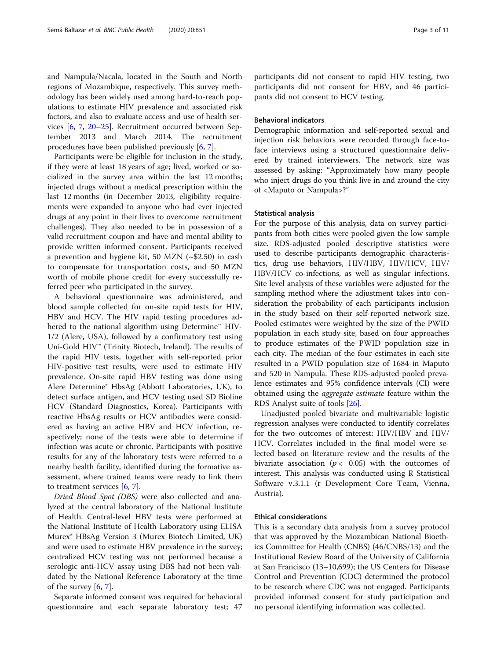and Nampula/Nacala, located in the South and North regions of Mozambique, respectively. This survey methodology has been widely used among hard-to-reach populations to estimate HIV prevalence and associated risk factors, and also to evaluate access and use of health services [\[6](#page-9-0), [7](#page-9-0), [20](#page-9-0)–[25\]](#page-9-0). Recruitment occurred between September 2013 and March 2014. The recruitment procedures have been published previously [[6,](#page-9-0) [7\]](#page-9-0).

Participants were be eligible for inclusion in the study, if they were at least 18 years of age; lived, worked or socialized in the survey area within the last 12 months; injected drugs without a medical prescription within the last 12 months (in December 2013, eligibility requirements were expanded to anyone who had ever injected drugs at any point in their lives to overcome recruitment challenges). They also needed to be in possession of a valid recruitment coupon and have and mental ability to provide written informed consent. Participants received a prevention and hygiene kit, 50 MZN (~\$2.50) in cash to compensate for transportation costs, and 50 MZN worth of mobile phone credit for every successfully referred peer who participated in the survey.

A behavioral questionnaire was administered, and blood sample collected for on-site rapid tests for HIV, HBV and HCV. The HIV rapid testing procedures adhered to the national algorithm using Determine™ HIV-1/2 (Alere, USA), followed by a confirmatory test using Uni-Gold HIV™ (Trinity Biotech, Ireland). The results of the rapid HIV tests, together with self-reported prior HIV-positive test results, were used to estimate HIV prevalence. On-site rapid HBV testing was done using Alere Determine® HbsAg (Abbott Laboratories, UK), to detect surface antigen, and HCV testing used SD Bioline HCV (Standard Diagnostics, Korea). Participants with reactive HbsAg results or HCV antibodies were considered as having an active HBV and HCV infection, respectively; none of the tests were able to determine if infection was acute or chronic. Participants with positive results for any of the laboratory tests were referred to a nearby health facility, identified during the formative assessment, where trained teams were ready to link them to treatment services [\[6](#page-9-0), [7](#page-9-0)].

Dried Blood Spot (DBS) were also collected and analyzed at the central laboratory of the National Institute of Health. Central-level HBV tests were performed at the National Institute of Health Laboratory using ELISA Murex® HBsAg Version 3 (Murex Biotech Limited, UK) and were used to estimate HBV prevalence in the survey; centralized HCV testing was not performed because a serologic anti-HCV assay using DBS had not been validated by the National Reference Laboratory at the time of the survey  $[6, 7]$  $[6, 7]$  $[6, 7]$  $[6, 7]$ .

Separate informed consent was required for behavioral questionnaire and each separate laboratory test; 47

participants did not consent to rapid HIV testing, two participants did not consent for HBV, and 46 participants did not consent to HCV testing.

#### Behavioral indicators

Demographic information and self-reported sexual and injection risk behaviors were recorded through face-toface interviews using a structured questionnaire delivered by trained interviewers. The network size was assessed by asking: "Approximately how many people who inject drugs do you think live in and around the city of <Maputo or Nampula>?"

#### Statistical analysis

For the purpose of this analysis, data on survey participants from both cities were pooled given the low sample size. RDS-adjusted pooled descriptive statistics were used to describe participants demographic characteristics, drug use behaviors, HIV/HBV, HIV/HCV, HIV/ HBV/HCV co-infections, as well as singular infections. Site level analysis of these variables were adjusted for the sampling method where the adjustment takes into consideration the probability of each participants inclusion in the study based on their self-reported network size. Pooled estimates were weighted by the size of the PWID population in each study site, based on four approaches to produce estimates of the PWID population size in each city. The median of the four estimates in each site resulted in a PWID population size of 1684 in Maputo and 520 in Nampula. These RDS-adjusted pooled prevalence estimates and 95% confidence intervals (CI) were obtained using the aggregate estimate feature within the RDS Analyst suite of tools [\[26](#page-10-0)].

Unadjusted pooled bivariate and multivariable logistic regression analyses were conducted to identify correlates for the two outcomes of interest: HIV/HBV and HIV/ HCV. Correlates included in the final model were selected based on literature review and the results of the bivariate association ( $p < 0.05$ ) with the outcomes of interest. This analysis was conducted using R Statistical Software v.3.1.1 (r Development Core Team, Vienna, Austria).

#### Ethical considerations

This is a secondary data analysis from a survey protocol that was approved by the Mozambican National Bioethics Committee for Health (CNBS) (46/CNBS/13) and the Institutional Review Board of the University of California at San Francisco (13–10,699); the US Centers for Disease Control and Prevention (CDC) determined the protocol to be research where CDC was not engaged. Participants provided informed consent for study participation and no personal identifying information was collected.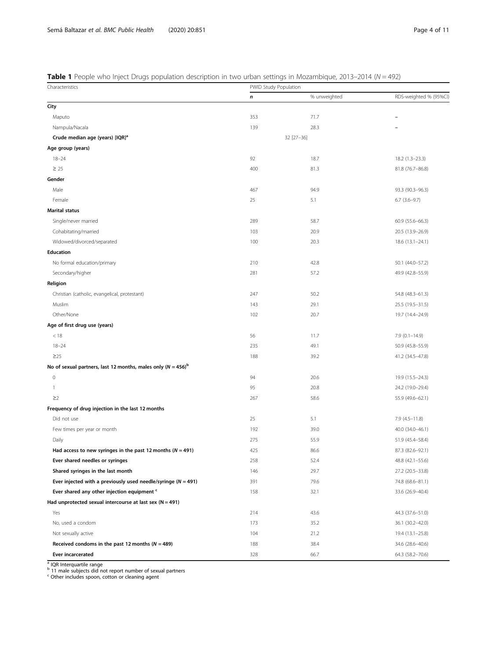## <span id="page-3-0"></span>Table 1 People who Inject Drugs population description in two urban settings in Mozambique, 2013–2014 ( $N = 492$ )

| Characteristics                                                   | PWID Study Population |              |                          |  |  |  |  |  |
|-------------------------------------------------------------------|-----------------------|--------------|--------------------------|--|--|--|--|--|
|                                                                   | n                     | % unweighted | RDS-weighted % (95%Cl)   |  |  |  |  |  |
| City                                                              |                       |              |                          |  |  |  |  |  |
| Maputo                                                            | 353                   | 71.7         | $\overline{\phantom{0}}$ |  |  |  |  |  |
| Nampula/Nacala                                                    | 139                   | 28.3         |                          |  |  |  |  |  |
| Crude median age (years) [IQR] <sup>a</sup>                       |                       | 32 [27-36]   |                          |  |  |  |  |  |
| Age group (years)                                                 |                       |              |                          |  |  |  |  |  |
| $18 - 24$                                                         | 92                    | 18.7         | $18.2(1.3-23.3)$         |  |  |  |  |  |
| $\geq 25$                                                         | 400                   | 81.3         | 81.8 (76.7-86.8)         |  |  |  |  |  |
| Gender                                                            |                       |              |                          |  |  |  |  |  |
| Male                                                              | 467                   | 94.9         | 93.3 (90.3-96.3)         |  |  |  |  |  |
| Female                                                            | 25                    | 5.1          | $6.7$ $(3.6-9.7)$        |  |  |  |  |  |
| <b>Marital status</b>                                             |                       |              |                          |  |  |  |  |  |
| Single/never married                                              | 289                   | 58.7         | 60.9 (55.6-66.3)         |  |  |  |  |  |
| Cohabitating/married                                              | 103                   | 20.9         | 20.5 (13.9-26.9)         |  |  |  |  |  |
| Widowed/divorced/separated                                        | 100                   | 20.3         | $18.6(13.1 - 24.1)$      |  |  |  |  |  |
| <b>Education</b>                                                  |                       |              |                          |  |  |  |  |  |
| No formal education/primary                                       | 210                   | 42.8         | 50.1 (44.0-57.2)         |  |  |  |  |  |
| Secondary/higher                                                  | 281                   | 57.2         | 49.9 (42.8-55.9)         |  |  |  |  |  |
| Religion                                                          |                       |              |                          |  |  |  |  |  |
| Christian (catholic, evangelical, protestant)                     | 247                   | 50.2         | 54.8 (48.3-61.3)         |  |  |  |  |  |
| Muslim                                                            | 143                   | 29.1         | 25.5 (19.5-31.5)         |  |  |  |  |  |
| Other/None                                                        | 102                   | 20.7         | 19.7 (14.4-24.9)         |  |  |  |  |  |
| Age of first drug use (years)                                     |                       |              |                          |  |  |  |  |  |
| < 18                                                              | 56                    | 11.7         | $7.9(0.1 - 14.9)$        |  |  |  |  |  |
| $18 - 24$                                                         | 235                   | 49.1         | 50.9 (45.8-55.9)         |  |  |  |  |  |
| $\geq$ 25                                                         | 188                   | 39.2         | 41.2 (34.5-47.8)         |  |  |  |  |  |
| No of sexual partners, last 12 months, males only $(N = 456)^b$   |                       |              |                          |  |  |  |  |  |
| $\circ$                                                           | 94                    | 20.6         | 19.9 (15.5-24.3)         |  |  |  |  |  |
| $\mathbf{1}$                                                      | 95                    | 20.8         | 24.2 (19.0-29.4)         |  |  |  |  |  |
| $\geq$ 2                                                          | 267                   | 58.6         | 55.9 (49.6-62.1)         |  |  |  |  |  |
| Frequency of drug injection in the last 12 months                 |                       |              |                          |  |  |  |  |  |
| Did not use                                                       | 25                    | 5.1          | $7.9(4.5 - 11.8)$        |  |  |  |  |  |
| Few times per year or month                                       | 192                   | 39.0         | 40.0 (34.0-46.1)         |  |  |  |  |  |
| Daily                                                             | 275                   | 55.9         | 51.9 (45.4-58.4)         |  |  |  |  |  |
| Had access to new syringes in the past 12 months ( $N = 491$ )    | 425                   | 86.6         | 87.3 (82.6-92.1)         |  |  |  |  |  |
| Ever shared needles or syringes                                   | 258                   | 52.4         | 48.8 (42.1-55.6)         |  |  |  |  |  |
| Shared syringes in the last month                                 | 146                   | 29.7         | 27.2 (20.5-33.8)         |  |  |  |  |  |
| Ever injected with a previously used needle/syringe ( $N = 491$ ) | 391                   | 79.6         | 74.8 (68.6-81.1)         |  |  |  |  |  |
| Ever shared any other injection equipment "                       | 158                   | 32.1         | 33.6 (26.9-40.4)         |  |  |  |  |  |
| Had unprotected sexual intercourse at last sex ( $N = 491$ )      |                       |              |                          |  |  |  |  |  |
| Yes                                                               | 214                   | 43.6         | 44.3 (37.6-51.0)         |  |  |  |  |  |
| No, used a condom                                                 | 173                   | 35.2         | 36.1 (30.2-42.0)         |  |  |  |  |  |
| Not sexually active                                               | 104                   | 21.2         | 19.4 (13.1-25.8)         |  |  |  |  |  |
| Received condoms in the past 12 months ( $N = 489$ )              | 188                   | 38.4         | 34.6 (28.6-40.6)         |  |  |  |  |  |
| Ever incarcerated                                                 | 328                   | 66.7         | 64.3 (58.2-70.6)         |  |  |  |  |  |
|                                                                   |                       |              |                          |  |  |  |  |  |

<sup>a</sup> IQR Interquartile range<br><sup>b</sup> 11 male subjects did not report number of sexual partners<br><sup>c</sup> Other includes spoon, cotton or cleaning agent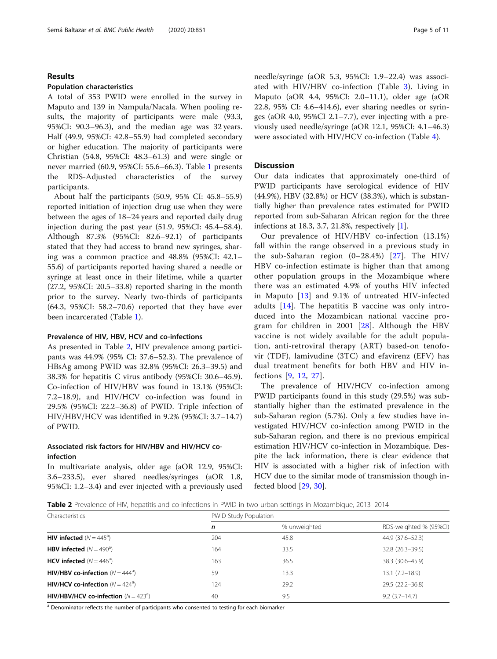#### Results

#### Population characteristics

A total of 353 PWID were enrolled in the survey in Maputo and 139 in Nampula/Nacala. When pooling results, the majority of participants were male (93.3, 95%CI: 90.3–96.3), and the median age was 32 years. Half (49.9, 95%CI: 42.8–55.9) had completed secondary or higher education. The majority of participants were Christian (54.8, 95%CI: 48.3–61.3) and were single or never married (60.9, 95%CI: 55.6–66.3). Table [1](#page-3-0) presents the RDS-Adjusted characteristics of the survey participants.

About half the participants (50.9, 95% CI: 45.8–55.9) reported initiation of injection drug use when they were between the ages of 18–24 years and reported daily drug injection during the past year (51.9, 95%CI: 45.4–58.4). Although 87.3% (95%CI: 82.6–92.1) of participants stated that they had access to brand new syringes, sharing was a common practice and 48.8% (95%CI: 42.1– 55.6) of participants reported having shared a needle or syringe at least once in their lifetime, while a quarter (27.2, 95%CI: 20.5–33.8) reported sharing in the month prior to the survey. Nearly two-thirds of participants (64.3, 95%CI: 58.2–70.6) reported that they have ever been incarcerated (Table [1](#page-3-0)).

## Prevalence of HIV, HBV, HCV and co-infections

As presented in Table 2, HIV prevalence among participants was 44.9% (95% CI: 37.6–52.3). The prevalence of HBsAg among PWID was 32.8% (95%CI: 26.3–39.5) and 38.3% for hepatitis C virus antibody (95%CI: 30.6–45.9). Co-infection of HIV/HBV was found in 13.1% (95%CI: 7.2–18.9), and HIV/HCV co-infection was found in 29.5% (95%CI: 22.2–36.8) of PWID. Triple infection of HIV/HBV/HCV was identified in 9.2% (95%CI: 3.7–14.7) of PWID.

## Associated risk factors for HIV/HBV and HIV/HCV coinfection

In multivariate analysis, older age (aOR 12.9, 95%CI: 3.6–233.5), ever shared needles/syringes (aOR 1.8, 95%CI: 1.2–3.4) and ever injected with a previously used needle/syringe (aOR 5.3, 95%CI: 1.9–22.4) was associated with HIV/HBV co-infection (Table [3\)](#page-5-0). Living in Maputo (aOR 4.4, 95%CI: 2.0–11.1), older age (aOR 22.8, 95% CI: 4.6–414.6), ever sharing needles or syringes (aOR 4.0, 95%CI 2.1–7.7), ever injecting with a previously used needle/syringe (aOR 12.1, 95%CI: 4.1–46.3) were associated with HIV/HCV co-infection (Table [4\)](#page-7-0).

#### **Discussion**

Our data indicates that approximately one-third of PWID participants have serological evidence of HIV (44.9%), HBV (32.8%) or HCV (38.3%), which is substantially higher than prevalence rates estimated for PWID reported from sub-Saharan African region for the three infections at 18.3, 3.7, 21.8%, respectively [\[1](#page-9-0)].

Our prevalence of HIV/HBV co-infection (13.1%) fall within the range observed in a previous study in the sub-Saharan region (0–28.4%) [[27\]](#page-10-0). The HIV/ HBV co-infection estimate is higher than that among other population groups in the Mozambique where there was an estimated 4.9% of youths HIV infected in Maputo [[13](#page-9-0)] and 9.1% of untreated HIV-infected adults [[14\]](#page-9-0). The hepatitis B vaccine was only introduced into the Mozambican national vaccine program for children in 2001 [[28\]](#page-10-0). Although the HBV vaccine is not widely available for the adult population, anti-retroviral therapy (ART) based-on tenofovir (TDF), lamivudine (3TC) and efavirenz (EFV) has dual treatment benefits for both HBV and HIV infections [\[9](#page-9-0), [12,](#page-9-0) [27](#page-10-0)].

The prevalence of HIV/HCV co-infection among PWID participants found in this study (29.5%) was substantially higher than the estimated prevalence in the sub-Saharan region (5.7%). Only a few studies have investigated HIV/HCV co-infection among PWID in the sub-Saharan region, and there is no previous empirical estimation HIV/HCV co-infection in Mozambique. Despite the lack information, there is clear evidence that HIV is associated with a higher risk of infection with HCV due to the similar mode of transmission though infected blood [\[29](#page-10-0), [30](#page-10-0)].

Table 2 Prevalence of HIV, hepatitis and co-infections in PWID in two urban settings in Mozambique, 2013–2014

| Characteristics                                 | PWID Study Population |              |                        |  |  |  |  |
|-------------------------------------------------|-----------------------|--------------|------------------------|--|--|--|--|
|                                                 | n                     | % unweighted | RDS-weighted % (95%CI) |  |  |  |  |
| <b>HIV infected</b> $(N = 445^{\circ})$         | 204                   | 45.8         | 44.9 (37.6-52.3)       |  |  |  |  |
| <b>HBV infected</b> $(N = 490^{\circ})$         | 164                   | 33.5         | $32.8(26.3 - 39.5)$    |  |  |  |  |
| HCV infected $(N = 446^{\circ})$                | 163                   | 36.5         | 38.3 (30.6-45.9)       |  |  |  |  |
| HIV/HBV co-infection ( $N = 444^a$ )            | 59                    | 13.3         | $13.1(7.2 - 18.9)$     |  |  |  |  |
| <b>HIV/HCV co-infection</b> ( $N = 424^a$ )     | 124                   | 29.2         | 29.5 (22.2-36.8)       |  |  |  |  |
| <b>HIV/HBV/HCV co-infection</b> ( $N = 423^a$ ) | 40                    | 9.5          | $9.2(3.7-14.7)$        |  |  |  |  |

<sup>a</sup> Denominator reflects the number of participants who consented to testing for each biomarker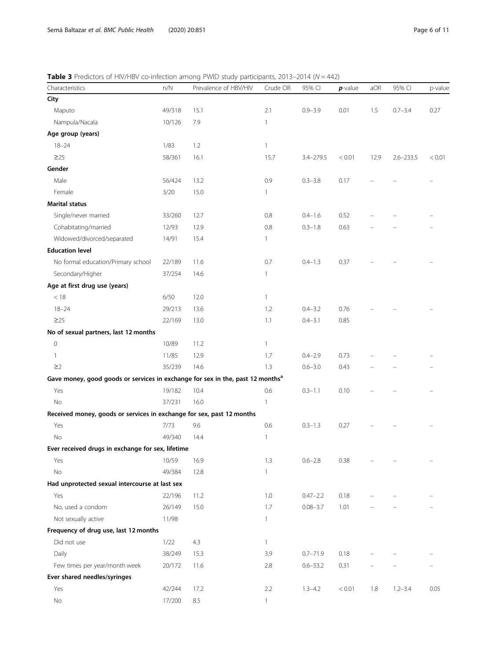<span id="page-5-0"></span>**Table 3** Predictors of HIV/HBV co-infection among PWID study participants, 2013–2014 ( $N = 442$ )

| Characteristics                                                                            | $n/N$  | Prevalence of HBV/HIV | Crude OR     | 95% CI       | $p$ -value | aOR  | 95% CI        | p-value |
|--------------------------------------------------------------------------------------------|--------|-----------------------|--------------|--------------|------------|------|---------------|---------|
| City                                                                                       |        |                       |              |              |            |      |               |         |
| Maputo                                                                                     | 49/318 | 15.1                  | 2.1          | $0.9 - 3.9$  | 0.01       | 1.5  | $0.7 - 3.4$   | 0.27    |
| Nampula/Nacala                                                                             | 10/126 | 7.9                   | $\mathbf{1}$ |              |            |      |               |         |
| Age group (years)                                                                          |        |                       |              |              |            |      |               |         |
| $18 - 24$                                                                                  | 1/83   | 1.2                   | $\mathbf{1}$ |              |            |      |               |         |
| $\geq$ 25                                                                                  | 58/361 | 16.1                  | 15.7         | 3.4-279.5    | < 0.01     | 12.9 | $2.6 - 233.5$ | < 0.01  |
| Gender                                                                                     |        |                       |              |              |            |      |               |         |
| Male                                                                                       | 56/424 | 13.2                  | 0.9          | $0.3 - 3.8$  | 0.17       |      |               |         |
| Female                                                                                     | 3/20   | 15.0                  | $\mathbf{1}$ |              |            |      |               |         |
| <b>Marital status</b>                                                                      |        |                       |              |              |            |      |               |         |
| Single/never married                                                                       | 33/260 | 12.7                  | 0.8          | $0.4 - 1.6$  | 0.52       |      |               |         |
| Cohabitating/married                                                                       | 12/93  | 12.9                  | 0.8          | $0.3 - 1.8$  | 0.63       |      |               |         |
| Widowed/divorced/separated                                                                 | 14/91  | 15.4                  | $\mathbf{1}$ |              |            |      |               |         |
| <b>Education level</b>                                                                     |        |                       |              |              |            |      |               |         |
| No formal education/Primary school                                                         | 22/189 | 11.6                  | 0.7          | $0.4 - 1.3$  | 0.37       |      |               |         |
| Secondary/Higher                                                                           | 37/254 | 14.6                  | $\mathbf{1}$ |              |            |      |               |         |
| Age at first drug use (years)                                                              |        |                       |              |              |            |      |               |         |
| < 18                                                                                       | 6/50   | 12.0                  | $\mathbf{1}$ |              |            |      |               |         |
| $18 - 24$                                                                                  | 29/213 | 13.6                  | 1.2          | $0.4 - 3.2$  | 0.76       |      |               |         |
| $\geq$ 25                                                                                  | 22/169 | 13.0                  | 1.1          | $0.4 - 3.1$  | 0.85       |      |               |         |
| No of sexual partners, last 12 months                                                      |        |                       |              |              |            |      |               |         |
| $\mathsf{O}\xspace$                                                                        | 10/89  | 11.2                  | $\mathbf{1}$ |              |            |      |               |         |
| 1                                                                                          | 11/85  | 12.9                  | 1.7          | $0.4 - 2.9$  | 0.73       |      |               |         |
| $\geq$ 2                                                                                   | 35/239 | 14.6                  | 1.3          | $0.6 - 3.0$  | 0.43       |      |               |         |
| Gave money, good goods or services in exchange for sex in the, past 12 months <sup>a</sup> |        |                       |              |              |            |      |               |         |
| Yes                                                                                        | 19/182 | 10.4                  | 0.6          | $0.3 - 1.1$  | 0.10       |      |               |         |
| No                                                                                         | 37/231 | 16.0                  | $\mathbf{1}$ |              |            |      |               |         |
| Received money, goods or services in exchange for sex, past 12 months                      |        |                       |              |              |            |      |               |         |
| Yes                                                                                        | 7/73   | 9.6                   | 0.6          | $0.3 - 1.3$  | 0.27       |      |               |         |
| No                                                                                         | 49/340 | 14.4                  | 1            |              |            |      |               |         |
| Ever received drugs in exchange for sex, lifetime                                          |        |                       |              |              |            |      |               |         |
| Yes                                                                                        | 10/59  | 16.9                  | 1.3          | $0.6 - 2.8$  | 0.38       |      |               |         |
| $\rm No$                                                                                   | 49/384 | 12.8                  | $\mathbf{1}$ |              |            |      |               |         |
| Had unprotected sexual intercourse at last sex                                             |        |                       |              |              |            |      |               |         |
| Yes                                                                                        | 22/196 | 11.2                  | 1.0          | $0.47 - 2.2$ | 0.18       |      |               |         |
| No, used a condom                                                                          | 26/149 | 15.0                  | 1.7          | $0.08 - 3.7$ | 1.01       |      |               |         |
| Not sexually active                                                                        | 11/98  |                       | 1            |              |            |      |               |         |
| Frequency of drug use, last 12 months                                                      |        |                       |              |              |            |      |               |         |
| Did not use                                                                                | 1/22   | 4.3                   | $\mathbf{1}$ |              |            |      |               |         |
| Daily                                                                                      | 38/249 | 15.3                  | 3.9          | $0.7 - 71.9$ | 0.18       |      |               |         |
| Few times per year/month week                                                              | 20/172 | 11.6                  | 2.8          | $0.6 - 53.2$ | 0.31       |      |               |         |
| Ever shared needles/syringes                                                               |        |                       |              |              |            |      |               |         |
| Yes                                                                                        | 42/244 | 17.2                  | 2.2          | $1.3 - 4.2$  | < 0.01     | 1.8  | $1.2 - 3.4$   | 0.05    |
| No                                                                                         | 17/200 | 8.5                   | $\mathbf{1}$ |              |            |      |               |         |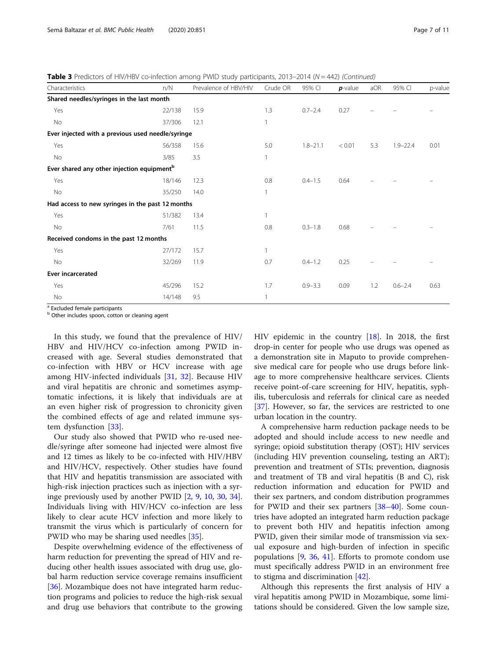**Table 3** Predictors of HIV/HBV co-infection among PWID study participants, 2013–2014 ( $N = 442$ ) (Continued)

| Characteristics                                        | n/N    | Prevalence of HBV/HIV | Crude OR | 95% CI       | $p$ -value | aOR | 95% CI       | p-value |
|--------------------------------------------------------|--------|-----------------------|----------|--------------|------------|-----|--------------|---------|
| Shared needles/syringes in the last month              |        |                       |          |              |            |     |              |         |
| Yes                                                    | 22/138 | 15.9                  | 1.3      | $0.7 - 2.4$  | 0.27       |     |              |         |
| No                                                     | 37/306 | 12.1                  |          |              |            |     |              |         |
| Ever injected with a previous used needle/syringe      |        |                       |          |              |            |     |              |         |
| Yes                                                    | 56/358 | 15.6                  | 5.0      | $1.8 - 21.1$ | < 0.01     | 5.3 | $1.9 - 22.4$ | 0.01    |
| No                                                     | 3/85   | 3.5                   |          |              |            |     |              |         |
| Ever shared any other injection equipment <sup>b</sup> |        |                       |          |              |            |     |              |         |
| Yes                                                    | 18/146 | 12.3                  | 0.8      | $0.4 - 1.5$  | 0.64       |     |              |         |
| No                                                     | 35/250 | 14.0                  |          |              |            |     |              |         |
| Had access to new syringes in the past 12 months       |        |                       |          |              |            |     |              |         |
| Yes                                                    | 51/382 | 13.4                  |          |              |            |     |              |         |
| No                                                     | 7/61   | 11.5                  | 0.8      | $0.3 - 1.8$  | 0.68       |     |              |         |
| Received condoms in the past 12 months                 |        |                       |          |              |            |     |              |         |
| Yes                                                    | 27/172 | 15.7                  |          |              |            |     |              |         |
| No                                                     | 32/269 | 11.9                  | 0.7      | $0.4 - 1.2$  | 0.25       |     |              |         |
| <b>Ever incarcerated</b>                               |        |                       |          |              |            |     |              |         |
| Yes                                                    | 45/296 | 15.2                  | 1.7      | $0.9 - 3.3$  | 0.09       | 1.2 | $0.6 - 2.4$  | 0.63    |
| No                                                     | 14/148 | 9.5                   |          |              |            |     |              |         |

<sup>a</sup> Excluded female participants

**b** Other includes spoon, cotton or cleaning agent

In this study, we found that the prevalence of HIV/ HBV and HIV/HCV co-infection among PWID increased with age. Several studies demonstrated that co-infection with HBV or HCV increase with age among HIV-infected individuals [[31,](#page-10-0) [32](#page-10-0)]. Because HIV and viral hepatitis are chronic and sometimes asymptomatic infections, it is likely that individuals are at an even higher risk of progression to chronicity given the combined effects of age and related immune system dysfunction [\[33](#page-10-0)].

Our study also showed that PWID who re-used needle/syringe after someone had injected were almost five and 12 times as likely to be co-infected with HIV/HBV and HIV/HCV, respectively. Other studies have found that HIV and hepatitis transmission are associated with high-risk injection practices such as injection with a syringe previously used by another PWID [\[2,](#page-9-0) [9](#page-9-0), [10,](#page-9-0) [30,](#page-10-0) [34](#page-10-0)]. Individuals living with HIV/HCV co-infection are less likely to clear acute HCV infection and more likely to transmit the virus which is particularly of concern for PWID who may be sharing used needles [[35\]](#page-10-0).

Despite overwhelming evidence of the effectiveness of harm reduction for preventing the spread of HIV and reducing other health issues associated with drug use, global harm reduction service coverage remains insufficient [[36\]](#page-10-0). Mozambique does not have integrated harm reduction programs and policies to reduce the high-risk sexual and drug use behaviors that contribute to the growing HIV epidemic in the country [\[18\]](#page-9-0). In 2018, the first drop-in center for people who use drugs was opened as a demonstration site in Maputo to provide comprehensive medical care for people who use drugs before linkage to more comprehensive healthcare services. Clients receive point-of-care screening for HIV, hepatitis, syphilis, tuberculosis and referrals for clinical care as needed [[37\]](#page-10-0). However, so far, the services are restricted to one urban location in the country.

A comprehensive harm reduction package needs to be adopted and should include access to new needle and syringe; opioid substitution therapy (OST); HIV services (including HIV prevention counseling, testing an ART); prevention and treatment of STIs; prevention, diagnosis and treatment of TB and viral hepatitis (B and C), risk reduction information and education for PWID and their sex partners, and condom distribution programmes for PWID and their sex partners [\[38](#page-10-0)–[40](#page-10-0)]. Some countries have adopted an integrated harm reduction package to prevent both HIV and hepatitis infection among PWID, given their similar mode of transmission via sexual exposure and high-burden of infection in specific populations [[9,](#page-9-0) [36,](#page-10-0) [41](#page-10-0)]. Efforts to promote condom use must specifically address PWID in an environment free to stigma and discrimination [[42\]](#page-10-0).

Although this represents the first analysis of HIV a viral hepatitis among PWID in Mozambique, some limitations should be considered. Given the low sample size,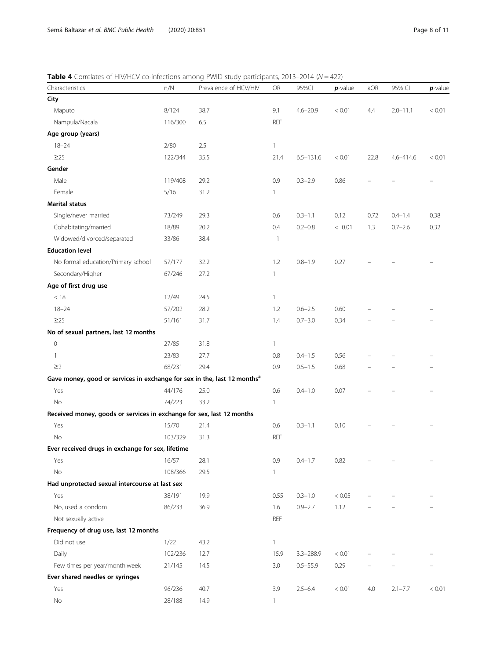<span id="page-7-0"></span>**Table 4** Correlates of HIV/HCV co-infections among PWID study participants, 2013–2014 ( $N = 422$ )

| Characteristics                                                                      | $n/N$   | Prevalence of HCV/HIV | ${\sf OR}$   | 95%Cl         | $p$ -value | aOR  | 95% CI       | $p$ -value |
|--------------------------------------------------------------------------------------|---------|-----------------------|--------------|---------------|------------|------|--------------|------------|
| City                                                                                 |         |                       |              |               |            |      |              |            |
| Maputo                                                                               | 8/124   | 38.7                  | 9.1          | $4.6 - 20.9$  | < 0.01     | 4.4  | $2.0 - 11.1$ | < 0.01     |
| Nampula/Nacala                                                                       | 116/300 | 6.5                   | REF          |               |            |      |              |            |
| Age group (years)                                                                    |         |                       |              |               |            |      |              |            |
| $18 - 24$                                                                            | 2/80    | 2.5                   | $\mathbf{1}$ |               |            |      |              |            |
| $\geq$ 25                                                                            | 122/344 | 35.5                  | 21.4         | $6.5 - 131.6$ | < 0.01     | 22.8 | 4.6-414.6    | < 0.01     |
| Gender                                                                               |         |                       |              |               |            |      |              |            |
| Male                                                                                 | 119/408 | 29.2                  | 0.9          | $0.3 - 2.9$   | 0.86       |      |              |            |
| Female                                                                               | 5/16    | 31.2                  | $\mathbf{1}$ |               |            |      |              |            |
| <b>Marital status</b>                                                                |         |                       |              |               |            |      |              |            |
| Single/never married                                                                 | 73/249  | 29.3                  | 0.6          | $0.3 - 1.1$   | 0.12       | 0.72 | $0.4 - 1.4$  | 0.38       |
| Cohabitating/married                                                                 | 18/89   | 20.2                  | 0.4          | $0.2 - 0.8$   | < 0.01     | 1.3  | $0.7 - 2.6$  | 0.32       |
| Widowed/divorced/separated                                                           | 33/86   | 38.4                  | $\mathbf{1}$ |               |            |      |              |            |
| <b>Education level</b>                                                               |         |                       |              |               |            |      |              |            |
| No formal education/Primary school                                                   | 57/177  | 32.2                  | 1.2          | $0.8 - 1.9$   | 0.27       |      |              |            |
| Secondary/Higher                                                                     | 67/246  | 27.2                  | $\mathbf{1}$ |               |            |      |              |            |
| Age of first drug use                                                                |         |                       |              |               |            |      |              |            |
| < 18                                                                                 | 12/49   | 24.5                  | $\mathbf{1}$ |               |            |      |              |            |
| $18 - 24$                                                                            | 57/202  | 28.2                  | 1.2          | $0.6 - 2.5$   | 0.60       |      |              |            |
| $\geq$ 25                                                                            | 51/161  | 31.7                  | 1.4          | $0.7 - 3.0$   | 0.34       |      |              |            |
| No of sexual partners, last 12 months                                                |         |                       |              |               |            |      |              |            |
| 0                                                                                    | 27/85   | 31.8                  | $\mathbf{1}$ |               |            |      |              |            |
| 1                                                                                    | 23/83   | 27.7                  | 0.8          | $0.4 - 1.5$   | 0.56       |      |              |            |
| $\geq$ 2                                                                             | 68/231  | 29.4                  | 0.9          | $0.5 - 1.5$   | 0.68       |      |              |            |
| Gave money, good or services in exchange for sex in the, last 12 months <sup>a</sup> |         |                       |              |               |            |      |              |            |
| Yes                                                                                  | 44/176  | 25.0                  | 0.6          | $0.4 - 1.0$   | 0.07       |      |              |            |
| No                                                                                   | 74/223  | 33.2                  | $\mathbf{1}$ |               |            |      |              |            |
| Received money, goods or services in exchange for sex, last 12 months                |         |                       |              |               |            |      |              |            |
| Yes                                                                                  | 15/70   | 21.4                  | 0.6          | $0.3 - 1.1$   | 0.10       |      |              |            |
| No                                                                                   | 103/329 | 31.3                  | REF          |               |            |      |              |            |
| Ever received drugs in exchange for sex, lifetime                                    |         |                       |              |               |            |      |              |            |
| Yes                                                                                  | 16/57   | 28.1                  | 0.9          | $0.4 - 1.7$   | 0.82       |      |              |            |
| No                                                                                   | 108/366 | 29.5                  | $\mathbf{1}$ |               |            |      |              |            |
| Had unprotected sexual intercourse at last sex                                       |         |                       |              |               |            |      |              |            |
| Yes                                                                                  | 38/191  | 19.9                  | 0.55         | $0.3 - 1.0$   | < 0.05     |      |              |            |
| No, used a condom                                                                    | 86/233  | 36.9                  | 1.6          | $0.9 - 2.7$   | 1.12       |      |              |            |
| Not sexually active                                                                  |         |                       | <b>REF</b>   |               |            |      |              |            |
| Frequency of drug use, last 12 months                                                |         |                       |              |               |            |      |              |            |
| Did not use                                                                          | 1/22    | 43.2                  | $\mathbf{1}$ |               |            |      |              |            |
| Daily                                                                                | 102/236 | 12.7                  | 15.9         | $3.3 - 288.9$ | < 0.01     |      |              |            |
| Few times per year/month week                                                        | 21/145  | 14.5                  | 3.0          | $0.5 - 55.9$  | 0.29       |      |              |            |
| Ever shared needles or syringes                                                      |         |                       |              |               |            |      |              |            |
| Yes                                                                                  | 96/236  | 40.7                  | 3.9          | $2.5 - 6.4$   | < 0.01     | 4.0  | $2.1 - 7.7$  | < 0.01     |
| No                                                                                   | 28/188  | 14.9                  | $\mathbf{1}$ |               |            |      |              |            |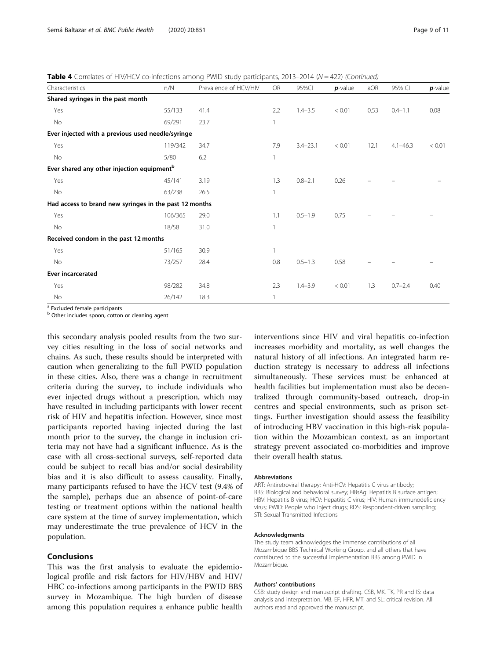**Table 4** Correlates of HIV/HCV co-infections among PWID study participants, 2013–2014 ( $N = 422$ ) (Continued)

| Characteristics                                        | n/N     | Prevalence of HCV/HIV | <b>OR</b> | 95%CI        | $p$ -value | aOR  | 95% CI       | $p$ -value |
|--------------------------------------------------------|---------|-----------------------|-----------|--------------|------------|------|--------------|------------|
| Shared syringes in the past month                      |         |                       |           |              |            |      |              |            |
| Yes                                                    | 55/133  | 41.4                  | 2.2       | $1.4 - 3.5$  | < 0.01     | 0.53 | $0.4 - 1.1$  | 0.08       |
| No                                                     | 69/291  | 23.7                  | 1         |              |            |      |              |            |
| Ever injected with a previous used needle/syringe      |         |                       |           |              |            |      |              |            |
| Yes                                                    | 119/342 | 34.7                  | 7.9       | $3.4 - 23.1$ | < 0.01     | 12.1 | $4.1 - 46.3$ | < 0.01     |
| No                                                     | 5/80    | 6.2                   | 1         |              |            |      |              |            |
| Ever shared any other injection equipment <sup>b</sup> |         |                       |           |              |            |      |              |            |
| Yes                                                    | 45/141  | 3.19                  | 1.3       | $0.8 - 2.1$  | 0.26       |      |              |            |
| No                                                     | 63/238  | 26.5                  |           |              |            |      |              |            |
| Had access to brand new syringes in the past 12 months |         |                       |           |              |            |      |              |            |
| Yes                                                    | 106/365 | 29.0                  | 1.1       | $0.5 - 1.9$  | 0.75       |      |              |            |
| No                                                     | 18/58   | 31.0                  | 1         |              |            |      |              |            |
| Received condom in the past 12 months                  |         |                       |           |              |            |      |              |            |
| Yes                                                    | 51/165  | 30.9                  |           |              |            |      |              |            |
| No                                                     | 73/257  | 28.4                  | 0.8       | $0.5 - 1.3$  | 0.58       |      |              |            |
| <b>Ever incarcerated</b>                               |         |                       |           |              |            |      |              |            |
| Yes                                                    | 98/282  | 34.8                  | 2.3       | $1.4 - 3.9$  | < 0.01     | 1.3  | $0.7 - 2.4$  | 0.40       |
| No                                                     | 26/142  | 18.3                  | 1         |              |            |      |              |            |

<sup>a</sup> Excluded female participants

**b** Other includes spoon, cotton or cleaning agent

this secondary analysis pooled results from the two survey cities resulting in the loss of social networks and chains. As such, these results should be interpreted with caution when generalizing to the full PWID population in these cities. Also, there was a change in recruitment criteria during the survey, to include individuals who ever injected drugs without a prescription, which may have resulted in including participants with lower recent risk of HIV and hepatitis infection. However, since most participants reported having injected during the last month prior to the survey, the change in inclusion criteria may not have had a significant influence. As is the case with all cross-sectional surveys, self-reported data could be subject to recall bias and/or social desirability bias and it is also difficult to assess causality. Finally, many participants refused to have the HCV test (9.4% of the sample), perhaps due an absence of point-of-care testing or treatment options within the national health care system at the time of survey implementation, which may underestimate the true prevalence of HCV in the population.

#### Conclusions

This was the first analysis to evaluate the epidemiological profile and risk factors for HIV/HBV and HIV/ HBC co-infections among participants in the PWID BBS survey in Mozambique. The high burden of disease among this population requires a enhance public health interventions since HIV and viral hepatitis co-infection increases morbidity and mortality, as well changes the natural history of all infections. An integrated harm reduction strategy is necessary to address all infections simultaneously. These services must be enhanced at health facilities but implementation must also be decentralized through community-based outreach, drop-in centres and special environments, such as prison settings. Further investigation should assess the feasibility of introducing HBV vaccination in this high-risk population within the Mozambican context, as an important strategy prevent associated co-morbidities and improve their overall health status.

#### Abbreviations

ART: Antiretroviral therapy; Anti-HCV: Hepatitis C virus antibody; BBS: Biological and behavioral survey; HBsAg: Hepatitis B surface antigen; HBV: Hepatitis B virus; HCV: Hepatitis C virus; HIV: Human immunodeficiency virus; PWID: People who inject drugs; RDS: Respondent-driven sampling; STI: Sexual Transmitted Infections

#### Acknowledgments

The study team acknowledges the immense contributions of all Mozambique BBS Technical Working Group, and all others that have contributed to the successful implementation BBS among PWID in Mozambique.

#### Authors' contributions

CSB: study design and manuscript drafting. CSB, MK, TK, PR and IS: data analysis and interpretation. MB, EF, HFR, MT, and SL: critical revision. All authors read and approved the manuscript.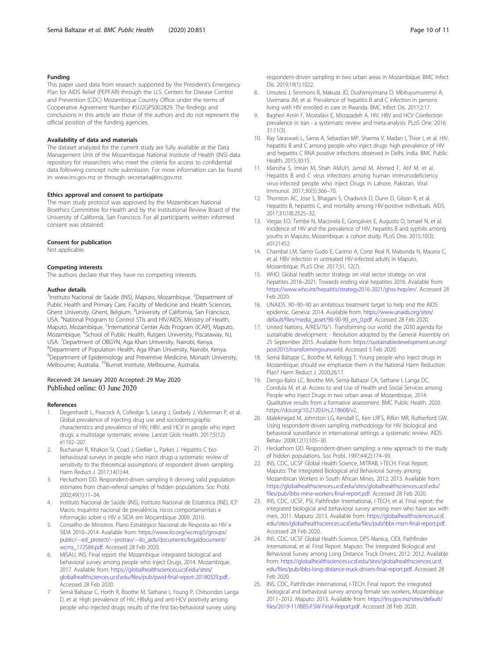#### <span id="page-9-0"></span>Funding

This paper used data from research supported by the President's Emergency Plan for AIDS Relief (PEPFAR) through the U.S. Centers for Disease Control and Prevention (CDC) Mozambique Country Office under the terms of Cooperative Agreement Number #5U2GPS002829. The findings and conclusions in this article are those of the authors and do not represent the official position of the funding agencies.

#### Availability of data and materials

The dataset analyzed for the current study are fully available at the Data Management Unit of the Mozambique National Institute of Health (INS) data repository for researchers who meet the criteria for access to confidential data following concept note submission. For more information can be found in: www.ins.gov.mz or through: secretaria@ins.gov.mz.

#### Ethics approval and consent to participate

The main study protocol was approved by the Mozambican National Bioethics Committee for Health and by the Institutional Review Board of the University of California, San Francisco. For all participants written informed consent was obtained.

#### Consent for publication

Not applicable.

#### Competing interests

The authors declare that they have no competing interests.

#### Author details

<sup>1</sup>Instituto Nacional de Saúde (INS), Maputo, Mozambique. <sup>2</sup>Department of Public Health and Primary Care, Faculty of Medicine and Health Sciences, Ghent University, Ghent, Belgium. <sup>3</sup>University of California, San Francisco, USA. <sup>4</sup>National Program to Control STIs and HIV/AIDS, Ministry of Health, Maputo, Mozambique. <sup>5</sup>International Center Aids Program (ICAP), Maputo, Mozambique. <sup>6</sup>School of Public Health, Rutgers University, Piscataway, NJ, USA. <sup>7</sup> Department of OBGYN, Aga Khan University, Nairobi, Kenya.<br><sup>8</sup> Department of Pepulation Hoalth, Aga Khan University Nairobi, K Department of Population Health, Aga Khan University, Nairobi, Kenya. <sup>9</sup> Department of Epidemiology and Preventive Medicine, Monash University, Melbourne, Australia. <sup>10</sup>Burnet Institute, Melbourne, Australia.

#### Received: 24 January 2020 Accepted: 29 May 2020 Published online: 03 June 2020

#### References

- Degenhardt L, Peacock A, Colledge S, Leung J, Grebely J, Vickerman P, et al. Global prevalence of injecting drug use and sociodemographic characteristics and prevalence of HIV, HBV, and HCV in people who inject drugs: a multistage systematic review. Lancet Glob Health. 2017;5(12): e1192–207.
- 2. Buchanan R, Khakoo SI, Coad J, Grellier L, Parkes J. Hepatitis C biobehavioural surveys in people who inject drugs-a systematic review of sensitivity to the theoretical assumptions of respondent driven sampling. Harm Reduct J. 2017;14(1):44.
- 3. Heckathorn DD. Respondent-driven sampling II: deriving valid population estimates from chain-referral samples of hidden populations. Soc Probl. 2002;49(1):11–34.
- 4. Instituto Nacional de Saúde (INS), Instítuto Nacional de Estatística (INE), ICF Macro. Inquérito nacional de prevalência, riscos comportamentais e informação sobre o HIV e SIDA em Moçambique 2009. 2010.
- 5. Conselho de Ministros. Plano Estratégico Nacional de Resposta ao HIV e SIDA 2010–2014. Available from: [https://www.ilo.org/wcmsp5/groups/](https://www.ilo.org/wcmsp5/groups/public/---ed_protect/---protrav/---ilo_aids/documents/legaldocument/wcms_172584.pdf) [public/---ed\\_protect/---protrav/---ilo\\_aids/documents/legaldocument/](https://www.ilo.org/wcmsp5/groups/public/---ed_protect/---protrav/---ilo_aids/documents/legaldocument/wcms_172584.pdf) [wcms\\_172584.pdf](https://www.ilo.org/wcmsp5/groups/public/---ed_protect/---protrav/---ilo_aids/documents/legaldocument/wcms_172584.pdf). Accessed 28 Feb 2020.
- 6. MISAU, INS. Final report: the Mozambique integrated biological and behavioral survey among people who inject Drugs, 2014. Mozambique. 2017. Available from: [https://globalhealthsciences.ucsf.edu/sites/](https://globalhealthsciences.ucsf.edu/sites/globalhealthsciences.ucsf.edu/files/pub/ibbs-long-distance-truck-drivers-final-report.pdf) [globalhealthsciences.ucsf.edu/files/pub/pwid-final-report-20180329.pdf..](https://globalhealthsciences.ucsf.edu/sites/globalhealthsciences.ucsf.edu/files/pub/ibbs-long-distance-truck-drivers-final-report.pdf) Accessed 28 Feb 2020.
- Semá Baltazar C, Horth R, Boothe M, Sathane I, Young P, Chitsondzo Langa D, et al. High prevalence of HIV, HBsAg and anti-HCV positivity among people who injected drugs: results of the first bio-behavioral survey using

respondent-driven sampling in two urban areas in Mozambique. BMC Infect Dis. 2019;19(1):1022.

- 8. Umutesi J, Simmons B, Makuza JD, Dushimiyimana D, Mbituyumuremyi A, Uwimana JM, et al. Prevalence of hepatitis B and C infection in persons living with HIV enrolled in care in Rwanda. BMC Infect Dis. 2017;2:17.
- 9. Bagheri Amiri F, Mostafavi E, Mirzazadeh A. HIV, HBV and HCV Coinfection prevalence in Iran - a systematic review and meta-analysis. PLoS One. 2016; 31:11(3).
- 10. Ray Saraswati L, Sarna A, Sebastian MP, Sharma V, Madan I, Thior I, et al. HIV, hepatitis B and C among people who inject drugs: high prevalence of HIV and hepatitis C RNA positive infections observed in Delhi, India. BMC Public Health. 2015;30:15.
- 11. Mansha S, Imran M, Shah AMUH, Jamal M, Ahmed F, Atif M, et al. Hepatitis B and C virus infections among human immunodeficiency virus-infected people who inject Drugs in Lahore, Pakistan. Viral Immunol. 2017;30(5):366–70.
- 12. Thornton AC, Jose S, Bhagani S, Chadwick D, Dunn D, Gilson R, et al. Hepatitis B, hepatitis C, and mortality among HIV-positive individuals. AIDS. 2017;31(18):2525–32.
- 13. Viegas EO, Tembe N, Macovela E, Gonçalves E, Augusto O, Ismael N, et al. Incidence of HIV and the prevalence of HIV, hepatitis B and syphilis among youths in Maputo, Mozambique: a cohort study. PLoS One. 2015;10(3): e0121452.
- 14. Chambal LM, Samo Gudo E, Carimo A, Corte Real R, Mabunda N, Maueia C, et al. HBV infection in untreated HIV-infected adults in Maputo, Mozambique. PLoS One. 2017;31, 12(7).
- 15. WHO. Global health sector strategy on viral sector strategy on viral hepatites 2016–2021. Towards ending viral hepatites 2016. Available from: [https://www.who.int/hepatitis/strategy2016-2021/ghss-hep/en/.](https://www.who.int/hepatitis/strategy2016-2021/ghss-hep/en/) Accessed 28 Feb 2020.
- 16. UNAIDS. 90–90–90 an ambitious treatment target to help end the AIDS epidemic. Geneva: 2014. Available from: [https://www.unaids.org/sites/](https://www.unaids.org/sites/default/files/media_asset/90-90-90_en_0.pdf) [default/files/media\\_asset/90-90-90\\_en\\_0.pdf.](https://www.unaids.org/sites/default/files/media_asset/90-90-90_en_0.pdf) Accessed 28 Feb 2020.
- 17. United Nations. A/RES/70/1. Transforming our world: the 2030 agenda for sustainable development: - Resolution adopted by the General Assembly on 25 September 2015. Available from: [https://sustainabledevelopment.un.org/](https://sustainabledevelopment.un.org/post2015/transformingourworld) [post2015/transformingourworld.](https://sustainabledevelopment.un.org/post2015/transformingourworld) Accessed 5 Feb 2020.
- 18. Semá Baltazar C, Boothe M, Kellogg T. Young people who inject drugs in Mozambique: should we emphasize them in the National Harm Reduction Plan? Harm Reduct J. 2020;26:17.
- 19. Dengo-Baloi LC, Boothe MA, Semá-Baltazar CA, Sathane I, Langa DC, Condula M, et al. Access to and Use of Health and Social Services among People who Inject Drugs in two urban areas of Mozambique, 2014: Qualitative results from a formative assessment. BMC Public Health. 2020. [https://doi.org/10.21203/rs.2.18608/v2.](https://doi.org/10.21203/rs.2.18608/v2)
- 20. Malekinejad M, Johnston LG, Kendall C, Kerr LRFS, Rifkin MR, Rutherford GW. Using respondent-driven sampling methodology for HIV biological and behavioral surveillance in international settings: a systematic review. AIDS Behav. 2008;12(1):105–30.
- 21. Heckathorn DD. Respondent-driven sampling: a new approach to the study of hidden populations. Soc Probl. 1997;44(2):174–99.
- 22. INS, CDC, UCSF Global Health Science, MITRAB, I-TECH. Final Report. Maputo: The Integrated Biological and Behavioral Survey among Mozambican Workers in South African Mines, 2012; 2013. Available from: [https://globalhealthsciences.ucsf.edu/sites/globalhealthsciences.ucsf.edu/](https://globalhealthsciences.ucsf.edu/sites/globalhealthsciences.ucsf.edu/files/pub/ibbs-long-distance-truck-drivers-final-report.pdf) [files/pub/ibbs-mine-workers-final-report.pdf](https://globalhealthsciences.ucsf.edu/sites/globalhealthsciences.ucsf.edu/files/pub/ibbs-long-distance-truck-drivers-final-report.pdf). Accessed 28 Feb 2020.
- 23. INS, CDC, UCSF, PSI, Pathfinder International, I-TECH, et al. Final report: the integrated biological and behavioral survey among men who have sex with men, 2011. Maputo: 2013. Available from: [https://globalhealthsciences.ucsf.](https://globalhealthsciences.ucsf.edu/sites/globalhealthsciences.ucsf.edu/files/pub/ibbs-long-distance-truck-drivers-final-report.pdf) [edu/sites/globalhealthsciences.ucsf.edu/files/pub/ibbs-msm-final-report.pdf](https://globalhealthsciences.ucsf.edu/sites/globalhealthsciences.ucsf.edu/files/pub/ibbs-long-distance-truck-drivers-final-report.pdf). Accessed 28 Feb 2020.
- 24. INS, CDC, UCSF Global Health Science, DPS Manica, CIDI, Pathfinder International, et al. Final Report. Maputo: The Integrated Biological and Behavioral Survey among Long Distance Truck Drivers, 2012. 2012. Available from: [https://globalhealthsciences.ucsf.edu/sites/globalhealthsciences.ucsf.](https://globalhealthsciences.ucsf.edu/sites/globalhealthsciences.ucsf.edu/files/pub/ibbs-long-distance-truck-drivers-final-report.pdf) [edu/files/pub/ibbs-long-distance-truck-drivers-final-report.pdf.](https://globalhealthsciences.ucsf.edu/sites/globalhealthsciences.ucsf.edu/files/pub/ibbs-long-distance-truck-drivers-final-report.pdf) Accessed 28 Feb 2020.
- 25. INS, CDC, Pathfinder International, I-TECH. Final report: the integrated biological and behavioral survey among female sex workers, Mozambique 2011–2012. Maputo: 2013. Available from: [https://ins.gov.mz/sites/default/](https://ins.gov.mz/sites/default/files/2019-11/IBBS-FSW-Final-Report.pdf) [files/2019-11/IBBS-FSW-Final-Report.pdf](https://ins.gov.mz/sites/default/files/2019-11/IBBS-FSW-Final-Report.pdf). Accessed 28 Feb 2020.